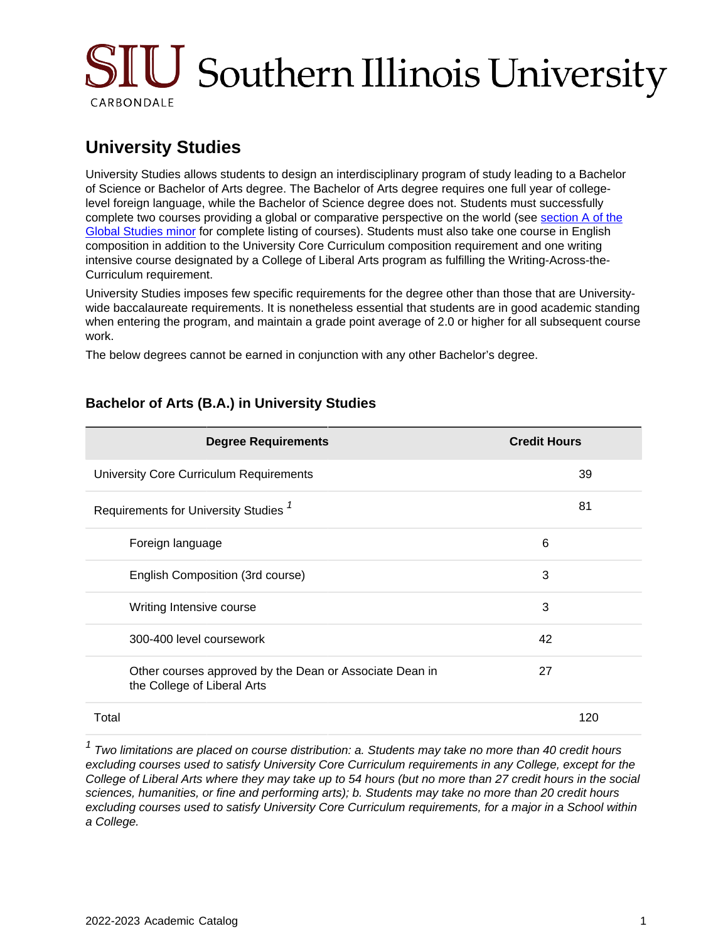# SIU Southern Illinois University CARBONDALE

## **University Studies**

University Studies allows students to design an interdisciplinary program of study leading to a Bachelor of Science or Bachelor of Arts degree. The Bachelor of Arts degree requires one full year of collegelevel foreign language, while the Bachelor of Science degree does not. Students must successfully complete two courses providing a global or comparative perspective on the world (see [section A of the](https://catalog.siu.edu/programs/gs/#a) [Global Studies minor](https://catalog.siu.edu/programs/gs/#a) for complete listing of courses). Students must also take one course in English composition in addition to the University Core Curriculum composition requirement and one writing intensive course designated by a College of Liberal Arts program as fulfilling the Writing-Across-the-Curriculum requirement.

University Studies imposes few specific requirements for the degree other than those that are Universitywide baccalaureate requirements. It is nonetheless essential that students are in good academic standing when entering the program, and maintain a grade point average of 2.0 or higher for all subsequent course work.

The below degrees cannot be earned in conjunction with any other Bachelor's degree.

| <b>Degree Requirements</b>                                                             | <b>Credit Hours</b> |
|----------------------------------------------------------------------------------------|---------------------|
| University Core Curriculum Requirements                                                | 39                  |
| Requirements for University Studies <sup>7</sup>                                       | 81                  |
| Foreign language                                                                       | 6                   |
| English Composition (3rd course)                                                       | 3                   |
| Writing Intensive course                                                               | 3                   |
| 300-400 level coursework                                                               | 42                  |
| Other courses approved by the Dean or Associate Dean in<br>the College of Liberal Arts | 27                  |
| Total                                                                                  | 120                 |

### **Bachelor of Arts (B.A.) in University Studies**

 $1$  Two limitations are placed on course distribution: a. Students may take no more than 40 credit hours excluding courses used to satisfy University Core Curriculum requirements in any College, except for the College of Liberal Arts where they may take up to 54 hours (but no more than 27 credit hours in the social sciences, humanities, or fine and performing arts); b. Students may take no more than 20 credit hours excluding courses used to satisfy University Core Curriculum requirements, for a major in a School within a College.